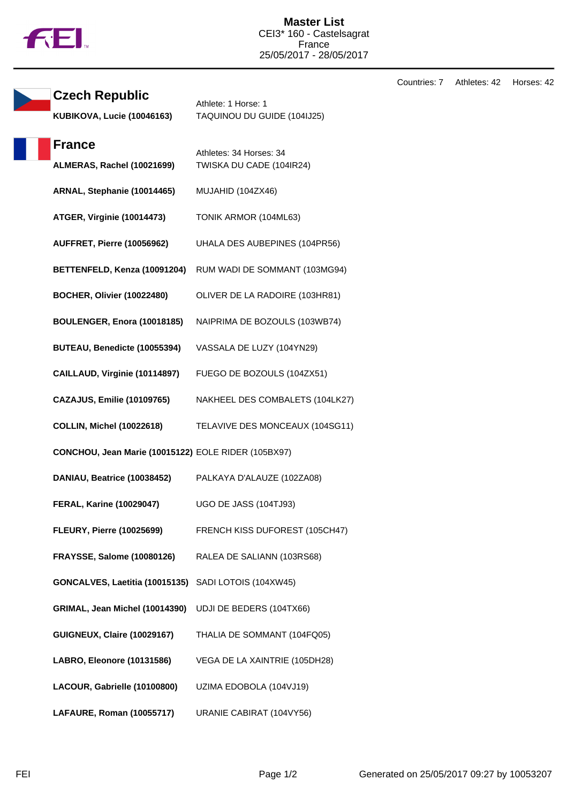

Countries: 7 Athletes: 42 Horses: 42

| <b>Czech Republic</b>                               | Athlete: 1 Horse: 1                                 |
|-----------------------------------------------------|-----------------------------------------------------|
| <b>KUBIKOVA, Lucie (10046163)</b>                   | TAQUINOU DU GUIDE (104IJ25)                         |
| <b>France</b>                                       |                                                     |
| ALMERAS, Rachel (10021699)                          | Athletes: 34 Horses: 34<br>TWISKA DU CADE (104IR24) |
| ARNAL, Stephanie (10014465)                         | MUJAHID (104ZX46)                                   |
| ATGER, Virginie (10014473)                          | TONIK ARMOR (104ML63)                               |
| AUFFRET, Pierre (10056962)                          | UHALA DES AUBEPINES (104PR56)                       |
| BETTENFELD, Kenza (10091204)                        | RUM WADI DE SOMMANT (103MG94)                       |
| <b>BOCHER, Olivier (10022480)</b>                   | OLIVER DE LA RADOIRE (103HR81)                      |
| BOULENGER, Enora (10018185)                         | NAIPRIMA DE BOZOULS (103WB74)                       |
| BUTEAU, Benedicte (10055394)                        | VASSALA DE LUZY (104YN29)                           |
| CAILLAUD, Virginie (10114897)                       | FUEGO DE BOZOULS (104ZX51)                          |
| <b>CAZAJUS, Emilie (10109765)</b>                   | NAKHEEL DES COMBALETS (104LK27)                     |
| <b>COLLIN, Michel (10022618)</b>                    | TELAVIVE DES MONCEAUX (104SG11)                     |
| CONCHOU, Jean Marie (10015122) EOLE RIDER (105BX97) |                                                     |
| DANIAU, Beatrice (10038452)                         | PALKAYA D'ALAUZE (102ZA08)                          |
| <b>FERAL, Karine (10029047)</b>                     | <b>UGO DE JASS (104TJ93)</b>                        |
| <b>FLEURY, Pierre (10025699)</b>                    | FRENCH KISS DUFOREST (105CH47)                      |
| <b>FRAYSSE, Salome (10080126)</b>                   | RALEA DE SALIANN (103RS68)                          |
| GONCALVES, Laetitia (10015135)                      | SADI LOTOIS (104XW45)                               |
| GRIMAL, Jean Michel (10014390)                      | UDJI DE BEDERS (104TX66)                            |
| <b>GUIGNEUX, Claire (10029167)</b>                  | THALIA DE SOMMANT (104FQ05)                         |
| LABRO, Eleonore (10131586)                          | VEGA DE LA XAINTRIE (105DH28)                       |
| LACOUR, Gabrielle (10100800)                        | UZIMA EDOBOLA (104VJ19)                             |
| LAFAURE, Roman (10055717)                           | URANIE CABIRAT (104VY56)                            |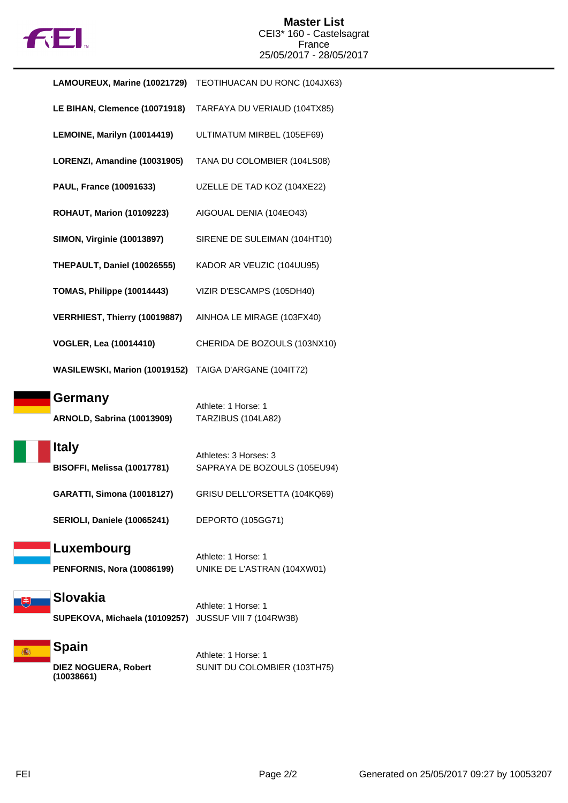

| LAMOUREUX, Marine (10021729)                           | TEOTIHUACAN DU RONC (104JX63)                         |
|--------------------------------------------------------|-------------------------------------------------------|
| LE BIHAN, Clemence (10071918)                          | TARFAYA DU VERIAUD (104TX85)                          |
| LEMOINE, Marilyn (10014419)                            | ULTIMATUM MIRBEL (105EF69)                            |
| LORENZI, Amandine (10031905)                           | TANA DU COLOMBIER (104LS08)                           |
| PAUL, France (10091633)                                | UZELLE DE TAD KOZ (104XE22)                           |
| <b>ROHAUT, Marion (10109223)</b>                       | AIGOUAL DENIA (104EO43)                               |
| <b>SIMON, Virginie (10013897)</b>                      | SIRENE DE SULEIMAN (104HT10)                          |
| THEPAULT, Daniel (10026555)                            | KADOR AR VEUZIC (104UU95)                             |
| TOMAS, Philippe (10014443)                             | VIZIR D'ESCAMPS (105DH40)                             |
| VERRHIEST, Thierry (10019887)                          | AINHOA LE MIRAGE (103FX40)                            |
| <b>VOGLER, Lea (10014410)</b>                          | CHERIDA DE BOZOULS (103NX10)                          |
| WASILEWSKI, Marion (10019152) TAIGA D'ARGANE (104IT72) |                                                       |
|                                                        |                                                       |
| Germany<br><b>ARNOLD, Sabrina (10013909)</b>           | Athlete: 1 Horse: 1<br>TARZIBUS (104LA82)             |
| <b>Italy</b><br>BISOFFI, Melissa (10017781)            | Athletes: 3 Horses: 3<br>SAPRAYA DE BOZOULS (105EU94) |
| <b>GARATTI, Simona (10018127)</b>                      | GRISU DELL'ORSETTA (104KQ69)                          |
| SERIOLI, Daniele (10065241)                            | DEPORTO (105GG71)                                     |
| Luxembourg<br><b>PENFORNIS, Nora (10086199)</b>        | Athlete: 1 Horse: 1<br>UNIKE DE L'ASTRAN (104XW01)    |
| <b>Slovakia</b><br>SUPEKOVA, Michaela (10109257)       | Athlete: 1 Horse: 1<br>JUSSUF VIII 7 (104RW38)        |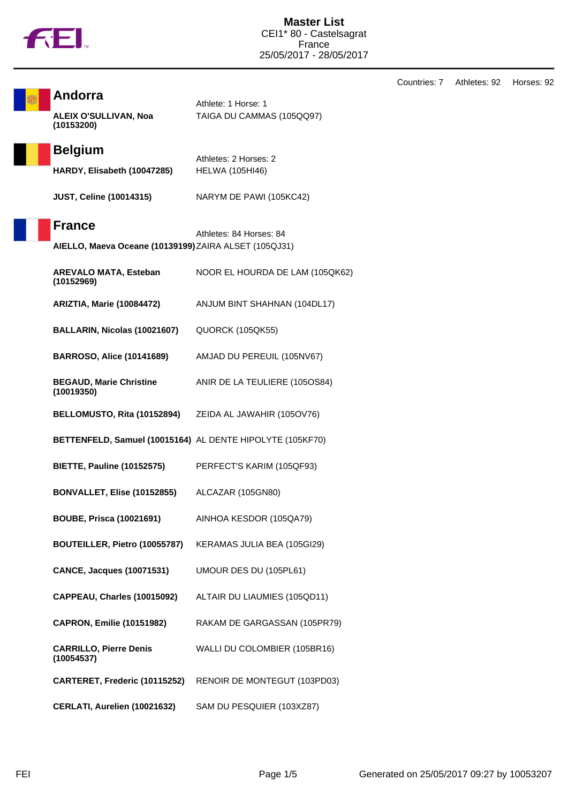

T

**Andorra**

Countries: 7 Athletes: 92 Horses: 92

| <b>ALEIX O'SULLIVAN, Noa</b><br>(10153200)                | TAIGA DU CAMMAS (105QQ97)       |
|-----------------------------------------------------------|---------------------------------|
| <b>Belgium</b>                                            | Athletes: 2 Horses: 2           |
| HARDY, Elisabeth (10047285)                               | <b>HELWA (105HI46)</b>          |
| <b>JUST, Celine (10014315)</b>                            | NARYM DE PAWI (105KC42)         |
| <b>France</b>                                             | Athletes: 84 Horses: 84         |
| AIELLO, Maeva Oceane (10139199) ZAIRA ALSET (105QJ31)     |                                 |
| <b>AREVALO MATA, Esteban</b><br>(10152969)                | NOOR EL HOURDA DE LAM (105QK62) |
| <b>ARIZTIA, Marie (10084472)</b>                          | ANJUM BINT SHAHNAN (104DL17)    |
| BALLARIN, Nicolas (10021607)                              | <b>QUORCK (105QK55)</b>         |
| <b>BARROSO, Alice (10141689)</b>                          | AMJAD DU PEREUIL (105NV67)      |
| <b>BEGAUD, Marie Christine</b><br>(10019350)              | ANIR DE LA TEULIERE (105OS84)   |
| BELLOMUSTO, Rita (10152894)                               | ZEIDA AL JAWAHIR (105OV76)      |
| BETTENFELD, Samuel (10015164) AL DENTE HIPOLYTE (105KF70) |                                 |
| <b>BIETTE, Pauline (10152575)</b>                         | PERFECT'S KARIM (105QF93)       |
| BONVALLET, Elise (10152855)                               | ALCAZAR (105GN80)               |
| <b>BOUBE, Prisca (10021691)</b>                           | AINHOA KESDOR (105QA79)         |
| BOUTEILLER, Pietro (10055787)                             | KERAMAS JULIA BEA (105GI29)     |
| <b>CANCE, Jacques (10071531)</b>                          | UMOUR DES DU (105PL61)          |
| CAPPEAU, Charles (10015092)                               | ALTAIR DU LIAUMIES (105QD11)    |
| <b>CAPRON, Emilie (10151982)</b>                          | RAKAM DE GARGASSAN (105PR79)    |
| <b>CARRILLO, Pierre Denis</b><br>(10054537)               | WALLI DU COLOMBIER (105BR16)    |
| CARTERET, Frederic (10115252)                             | RENOIR DE MONTEGUT (103PD03)    |
| CERLATI, Aurelien (10021632)                              | SAM DU PESQUIER (103XZ87)       |

Athlete: 1 Horse: 1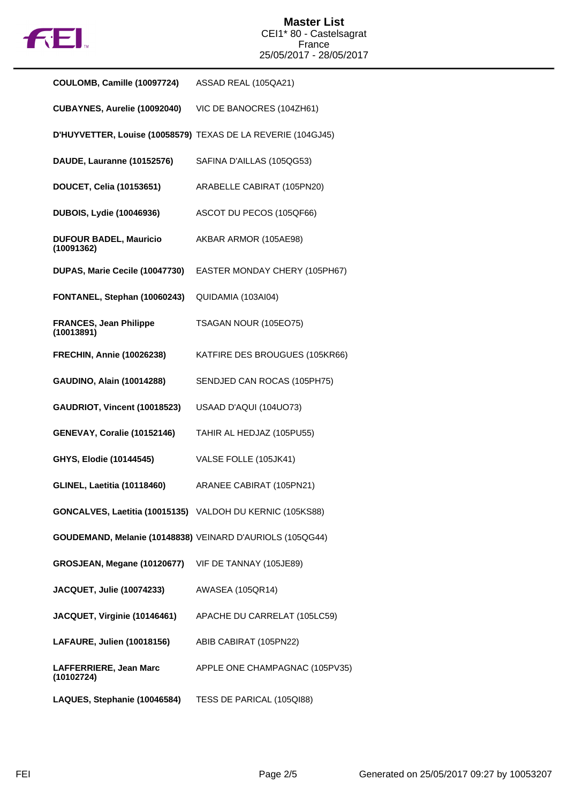

| COULOMB, Camille (10097724)                               | ASSAD REAL (105QA21)                                         |
|-----------------------------------------------------------|--------------------------------------------------------------|
| CUBAYNES, Aurelie (10092040)                              | VIC DE BANOCRES (104ZH61)                                    |
|                                                           | D'HUYVETTER, Louise (10058579) TEXAS DE LA REVERIE (104GJ45) |
| DAUDE, Lauranne (10152576)                                | SAFINA D'AILLAS (105QG53)                                    |
| DOUCET, Celia (10153651)                                  | ARABELLE CABIRAT (105PN20)                                   |
| <b>DUBOIS, Lydie (10046936)</b>                           | ASCOT DU PECOS (105QF66)                                     |
| <b>DUFOUR BADEL, Mauricio</b><br>(10091362)               | AKBAR ARMOR (105AE98)                                        |
| DUPAS, Marie Cecile (10047730)                            | EASTER MONDAY CHERY (105PH67)                                |
| FONTANEL, Stephan (10060243)                              | QUIDAMIA (103AI04)                                           |
| <b>FRANCES, Jean Philippe</b><br>(10013891)               | TSAGAN NOUR (105EO75)                                        |
| <b>FRECHIN, Annie (10026238)</b>                          | KATFIRE DES BROUGUES (105KR66)                               |
| GAUDINO, Alain (10014288)                                 | SENDJED CAN ROCAS (105PH75)                                  |
| GAUDRIOT, Vincent (10018523)                              | USAAD D'AQUI (104UO73)                                       |
| GENEVAY, Coralie (10152146)                               | TAHIR AL HEDJAZ (105PU55)                                    |
| GHYS, Elodie (10144545)                                   | VALSE FOLLE (105JK41)                                        |
| <b>GLINEL, Laetitia (10118460)</b>                        | ARANEE CABIRAT (105PN21)                                     |
| GONCALVES, Laetitia (10015135) VALDOH DU KERNIC (105KS88) |                                                              |
| GOUDEMAND, Melanie (10148838) VEINARD D'AURIOLS (105QG44) |                                                              |
| GROSJEAN, Megane (10120677)                               | VIF DE TANNAY (105JE89)                                      |
| JACQUET, Julie (10074233)                                 | <b>AWASEA (105QR14)</b>                                      |
| JACQUET, Virginie (10146461)                              | APACHE DU CARRELAT (105LC59)                                 |
| LAFAURE, Julien (10018156)                                | ABIB CABIRAT (105PN22)                                       |
| LAFFERRIERE, Jean Marc<br>(10102724)                      | APPLE ONE CHAMPAGNAC (105PV35)                               |
| LAQUES, Stephanie (10046584)                              | TESS DE PARICAL (105QI88)                                    |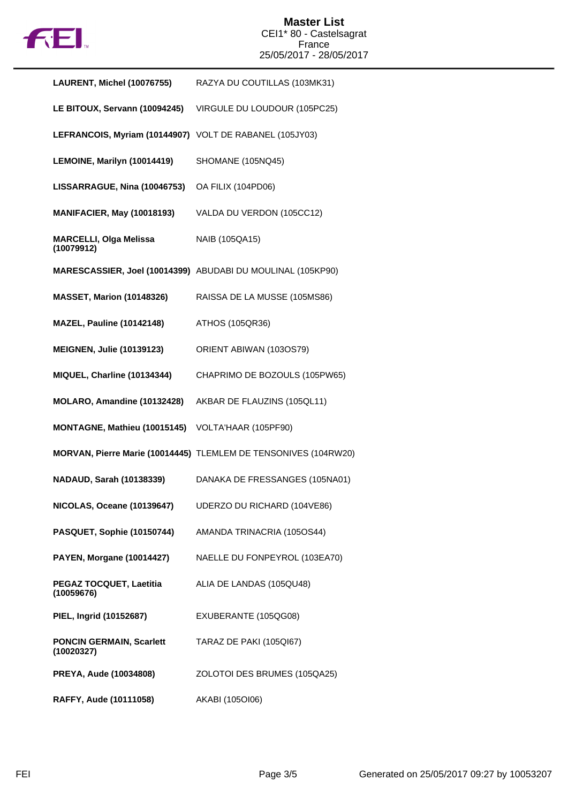

## **Master List** CEI1\* 80 - Castelsagrat France 25/05/2017 - 28/05/2017

| LAURENT, Michel (10076755)                              | RAZYA DU COUTILLAS (103MK31)                                    |
|---------------------------------------------------------|-----------------------------------------------------------------|
| LE BITOUX, Servann (10094245)                           | VIRGULE DU LOUDOUR (105PC25)                                    |
| LEFRANCOIS, Myriam (10144907) VOLT DE RABANEL (105JY03) |                                                                 |
| LEMOINE, Marilyn (10014419)                             | SHOMANE (105NQ45)                                               |
| LISSARRAGUE, Nina (10046753)                            | OA FILIX (104PD06)                                              |
| <b>MANIFACIER, May (10018193)</b>                       | VALDA DU VERDON (105CC12)                                       |
| <b>MARCELLI, Olga Melissa</b><br>(10079912)             | NAIB (105QA15)                                                  |
|                                                         | MARESCASSIER, Joel (10014399) ABUDABI DU MOULINAL (105KP90)     |
| <b>MASSET, Marion (10148326)</b>                        | RAISSA DE LA MUSSE (105MS86)                                    |
| <b>MAZEL, Pauline (10142148)</b>                        | ATHOS (105QR36)                                                 |
| <b>MEIGNEN, Julie (10139123)</b>                        | ORIENT ABIWAN (103OS79)                                         |
| MIQUEL, Charline (10134344)                             | CHAPRIMO DE BOZOULS (105PW65)                                   |
| MOLARO, Amandine (10132428)                             | AKBAR DE FLAUZINS (105QL11)                                     |
| MONTAGNE, Mathieu (10015145)                            | VOLTA'HAAR (105PF90)                                            |
|                                                         | MORVAN, Pierre Marie (10014445) TLEMLEM DE TENSONIVES (104RW20) |
| <b>NADAUD, Sarah (10138339)</b>                         | DANAKA DE FRESSANGES (105NA01)                                  |
| <b>NICOLAS, Oceane (10139647)</b>                       | UDERZO DU RICHARD (104VE86)                                     |
| PASQUET, Sophie (10150744)                              | AMANDA TRINACRIA (105OS44)                                      |
| <b>PAYEN, Morgane (10014427)</b>                        | NAELLE DU FONPEYROL (103EA70)                                   |
| PEGAZ TOCQUET, Laetitia<br>(10059676)                   | ALIA DE LANDAS (105QU48)                                        |
| PIEL, Ingrid (10152687)                                 | EXUBERANTE (105QG08)                                            |
| <b>PONCIN GERMAIN, Scarlett</b><br>(10020327)           | TARAZ DE PAKI (105QI67)                                         |
| PREYA, Aude (10034808)                                  | ZOLOTOI DES BRUMES (105QA25)                                    |
| RAFFY, Aude (10111058)                                  | AKABI (105OI06)                                                 |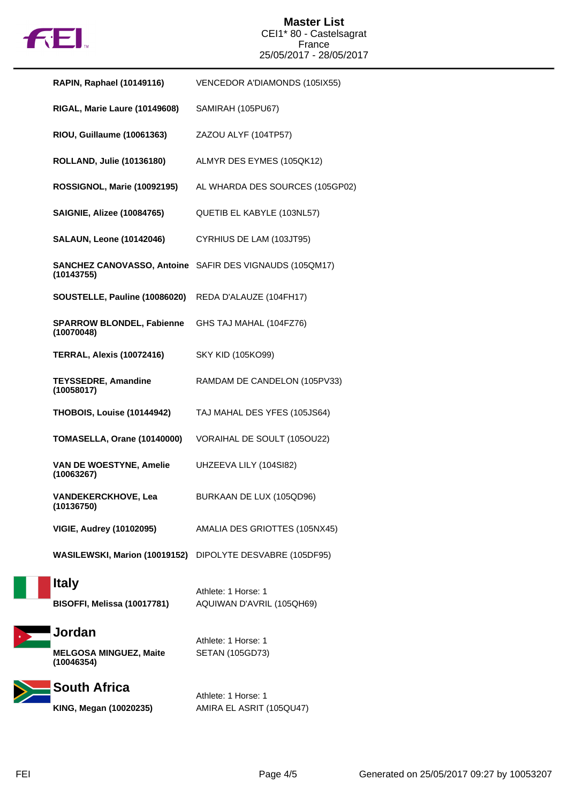

## **Master List** CEI1\* 80 - Castelsagrat France 25/05/2017 - 28/05/2017

| RAPIN, Raphael (10149116)                             | VENCEDOR A'DIAMONDS (105IX55)                                  |
|-------------------------------------------------------|----------------------------------------------------------------|
| RIGAL, Marie Laure (10149608)                         | SAMIRAH (105PU67)                                              |
| RIOU, Guillaume (10061363)                            | ZAZOU ALYF (104TP57)                                           |
| <b>ROLLAND, Julie (10136180)</b>                      | ALMYR DES EYMES (105QK12)                                      |
| ROSSIGNOL, Marie (10092195)                           | AL WHARDA DES SOURCES (105GP02)                                |
| <b>SAIGNIE, Alizee (10084765)</b>                     | QUETIB EL KABYLE (103NL57)                                     |
| <b>SALAUN, Leone (10142046)</b>                       | CYRHIUS DE LAM (103JT95)                                       |
| (10143755)                                            | <b>SANCHEZ CANOVASSO, Antoine</b> SAFIR DES VIGNAUDS (105QM17) |
| SOUSTELLE, Pauline (10086020)                         | REDA D'ALAUZE (104FH17)                                        |
| <b>SPARROW BLONDEL, Fabienne</b><br>(10070048)        | GHS TAJ MAHAL (104FZ76)                                        |
| <b>TERRAL, Alexis (10072416)</b>                      | SKY KID (105KO99)                                              |
| <b>TEYSSEDRE, Amandine</b><br>(10058017)              | RAMDAM DE CANDELON (105PV33)                                   |
| <b>THOBOIS, Louise (10144942)</b>                     | TAJ MAHAL DES YFES (105JS64)                                   |
| TOMASELLA, Orane (10140000)                           | VORAIHAL DE SOULT (105OU22)                                    |
| <b>VAN DE WOESTYNE, Amelie</b><br>(10063267)          | UHZEEVA LILY (104SI82)                                         |
| <b>VANDEKERCKHOVE, Lea</b><br>(10136750)              | BURKAAN DE LUX (105QD96)                                       |
| <b>VIGIE, Audrey (10102095)</b>                       | AMALIA DES GRIOTTES (105NX45)                                  |
| WASILEWSKI, Marion (10019152)                         | DIPOLYTE DESVABRE (105DF95)                                    |
| <b>Italy</b><br>BISOFFI, Melissa (10017781)           | Athlete: 1 Horse: 1<br>AQUIWAN D'AVRIL (105QH69)               |
| Jordan<br><b>MELGOSA MINGUEZ, Maite</b><br>(10046354) | Athlete: 1 Horse: 1<br><b>SETAN (105GD73)</b>                  |
| <b>South Africa</b><br>KING, Megan (10020235)         | Athlete: 1 Horse: 1<br>AMIRA EL ASRIT (105QU47)                |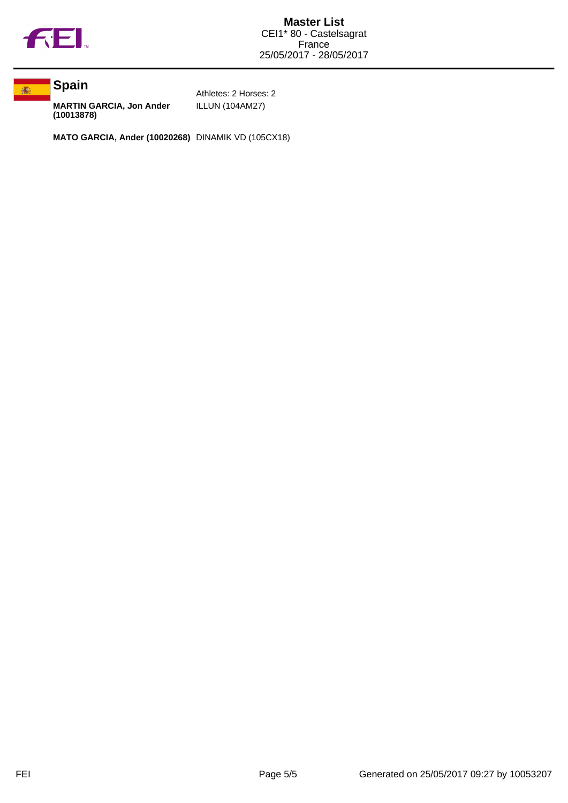



**MARTIN GARCIA, Jon Ander (10013878)**

Athletes: 2 Horses: 2 ILLUN (104AM27)

**MATO GARCIA, Ander (10020268)** DINAMIK VD (105CX18)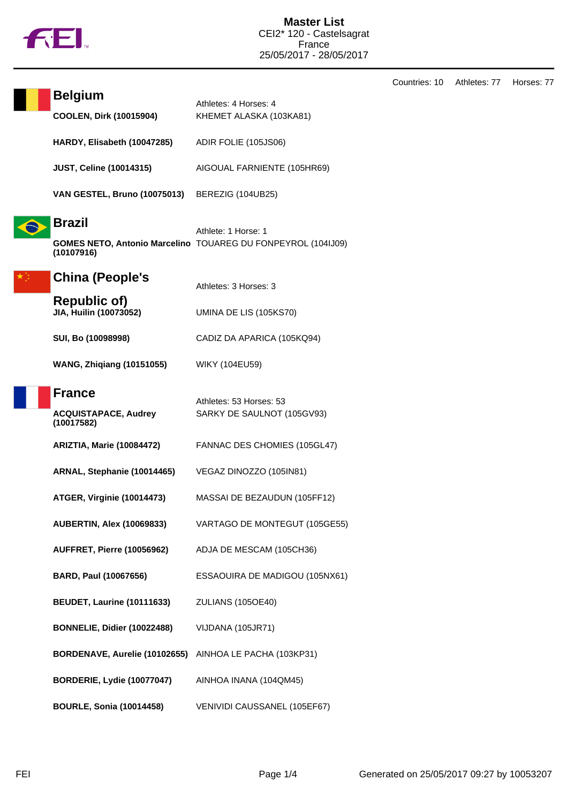

Countries: 10 Athletes: 77 Horses: 77

| <b>Belgium</b><br><b>COOLEN, Dirk (10015904)</b>           | Athletes: 4 Horses: 4<br>KHEMET ALASKA (103KA81)                                           |
|------------------------------------------------------------|--------------------------------------------------------------------------------------------|
| HARDY, Elisabeth (10047285)                                | ADIR FOLIE (105JS06)                                                                       |
| <b>JUST, Celine (10014315)</b>                             | AIGOUAL FARNIENTE (105HR69)                                                                |
| VAN GESTEL, Bruno (10075013)                               | BEREZIG (104UB25)                                                                          |
| <b>Brazil</b><br>(10107916)                                | Athlete: 1 Horse: 1<br><b>GOMES NETO, Antonio Marcelino TOUAREG DU FONPEYROL (104IJ09)</b> |
| <b>China (People's</b>                                     | Athletes: 3 Horses: 3                                                                      |
| <b>Republic of)</b><br>JIA, Huilin (10073052)              | UMINA DE LIS (105KS70)                                                                     |
| SUI, Bo (10098998)                                         | CADIZ DA APARICA (105KQ94)                                                                 |
| <b>WANG, Zhiqiang (10151055)</b>                           | WIKY (104EU59)                                                                             |
| <b>France</b><br><b>ACQUISTAPACE, Audrey</b><br>(10017582) | Athletes: 53 Horses: 53<br>SARKY DE SAULNOT (105GV93)                                      |
| <b>ARIZTIA, Marie (10084472)</b>                           | FANNAC DES CHOMIES (105GL47)                                                               |
| ARNAL, Stephanie (10014465)                                | VEGAZ DINOZZO (105IN81)                                                                    |
| <b>ATGER, Virginie (10014473)</b>                          | MASSAI DE BEZAUDUN (105FF12)                                                               |
| <b>AUBERTIN, Alex (10069833)</b>                           | VARTAGO DE MONTEGUT (105GE55)                                                              |
| <b>AUFFRET, Pierre (10056962)</b>                          | ADJA DE MESCAM (105CH36)                                                                   |
| BARD, Paul (10067656)                                      | ESSAOUIRA DE MADIGOU (105NX61)                                                             |
| <b>BEUDET, Laurine (10111633)</b>                          | <b>ZULIANS (105OE40)</b>                                                                   |
| BONNELIE, Didier (10022488)                                | VIJDANA (105JR71)                                                                          |
| BORDENAVE, Aurelie (10102655)                              | AINHOA LE PACHA (103KP31)                                                                  |
| <b>BORDERIE, Lydie (10077047)</b>                          | AINHOA INANA (104QM45)                                                                     |
| <b>BOURLE, Sonia (10014458)</b>                            | VENIVIDI CAUSSANEL (105EF67)                                                               |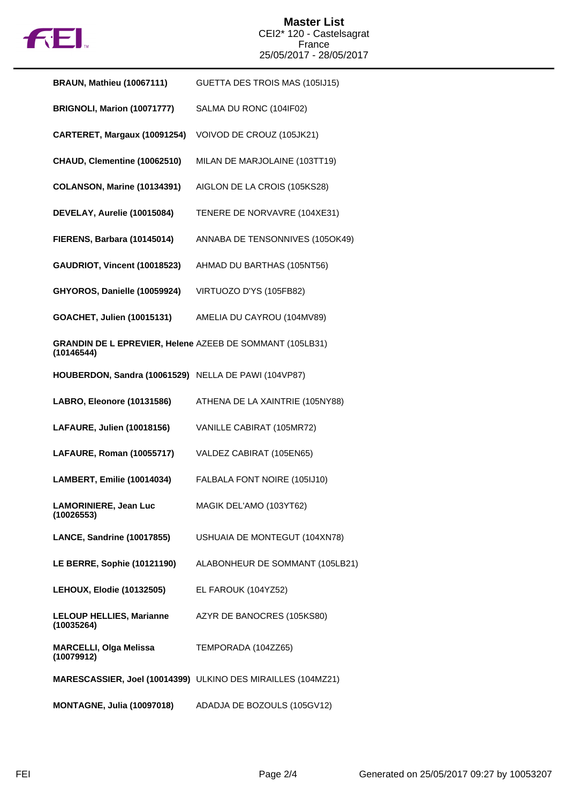

## **Master List** CEI2\* 120 - Castelsagrat France 25/05/2017 - 28/05/2017

| <b>BRAUN, Mathieu (10067111)</b>                                       | GUETTA DES TROIS MAS (105IJ15)                               |
|------------------------------------------------------------------------|--------------------------------------------------------------|
| BRIGNOLI, Marion (10071777)                                            | SALMA DU RONC (104IF02)                                      |
| CARTERET, Margaux (10091254)                                           | VOIVOD DE CROUZ (105JK21)                                    |
| CHAUD, Clementine (10062510)                                           | MILAN DE MARJOLAINE (103TT19)                                |
| <b>COLANSON, Marine (10134391)</b>                                     | AIGLON DE LA CROIS (105KS28)                                 |
| DEVELAY, Aurelie (10015084)                                            | TENERE DE NORVAVRE (104XE31)                                 |
| FIERENS, Barbara (10145014)                                            | ANNABA DE TENSONNIVES (105OK49)                              |
| GAUDRIOT, Vincent (10018523)                                           | AHMAD DU BARTHAS (105NT56)                                   |
| GHYOROS, Danielle (10059924)                                           | VIRTUOZO D'YS (105FB82)                                      |
| GOACHET, Julien (10015131)                                             | AMELIA DU CAYROU (104MV89)                                   |
| GRANDIN DE L EPREVIER, Helene AZEEB DE SOMMANT (105LB31)<br>(10146544) |                                                              |
| HOUBERDON, Sandra (10061529) NELLA DE PAWI (104VP87)                   |                                                              |
| LABRO, Eleonore (10131586)                                             | ATHENA DE LA XAINTRIE (105NY88)                              |
| LAFAURE, Julien (10018156)                                             | VANILLE CABIRAT (105MR72)                                    |
| LAFAURE, Roman (10055717)                                              | VALDEZ CABIRAT (105EN65)                                     |
| <b>LAMBERT, Emilie (10014034)</b>                                      | FALBALA FONT NOIRE (105IJ10)                                 |
| <b>LAMORINIERE, Jean Luc</b><br>(10026553)                             | MAGIK DEL'AMO (103YT62)                                      |
| <b>LANCE, Sandrine (10017855)</b>                                      | USHUAIA DE MONTEGUT (104XN78)                                |
| LE BERRE, Sophie (10121190)                                            | ALABONHEUR DE SOMMANT (105LB21)                              |
| <b>LEHOUX, Elodie (10132505)</b>                                       | EL FAROUK (104YZ52)                                          |
| <b>LELOUP HELLIES, Marianne</b><br>(10035264)                          | AZYR DE BANOCRES (105KS80)                                   |
| <b>MARCELLI, Olga Melissa</b><br>(10079912)                            | TEMPORADA (104ZZ65)                                          |
|                                                                        | MARESCASSIER, Joel (10014399) ULKINO DES MIRAILLES (104MZ21) |
| <b>MONTAGNE, Julia (10097018)</b>                                      | ADADJA DE BOZOULS (105GV12)                                  |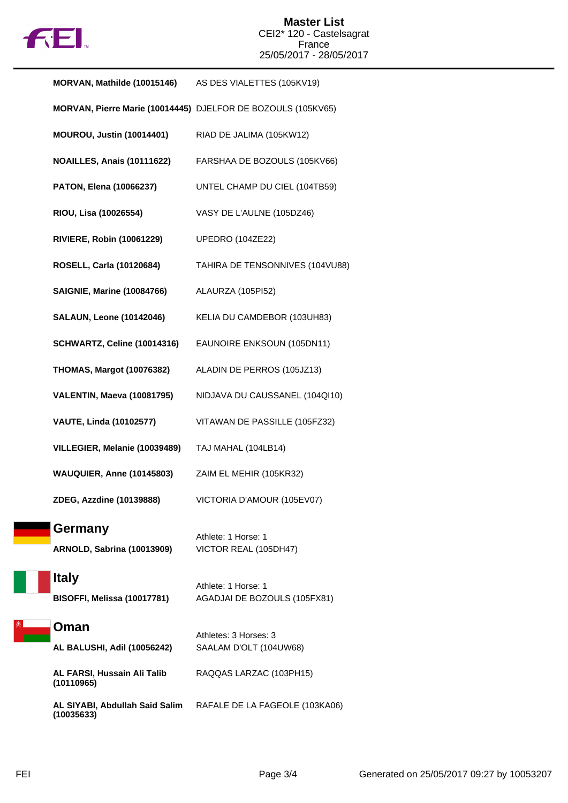

| MORVAN, Mathilde (10015146)                  | AS DES VIALETTES (105KV19)                                   |
|----------------------------------------------|--------------------------------------------------------------|
|                                              | MORVAN, Pierre Marie (10014445) DJELFOR DE BOZOULS (105KV65) |
| <b>MOUROU, Justin (10014401)</b>             | RIAD DE JALIMA (105KW12)                                     |
| <b>NOAILLES, Anais (10111622)</b>            | FARSHAA DE BOZOULS (105KV66)                                 |
| <b>PATON, Elena (10066237)</b>               | UNTEL CHAMP DU CIEL (104TB59)                                |
| RIOU, Lisa (10026554)                        | VASY DE L'AULNE (105DZ46)                                    |
| <b>RIVIERE, Robin (10061229)</b>             | <b>UPEDRO (104ZE22)</b>                                      |
| ROSELL, Carla (10120684)                     | TAHIRA DE TENSONNIVES (104VU88)                              |
| <b>SAIGNIE, Marine (10084766)</b>            | ALAURZA (105PI52)                                            |
| <b>SALAUN, Leone (10142046)</b>              | KELIA DU CAMDEBOR (103UH83)                                  |
| <b>SCHWARTZ, Celine (10014316)</b>           | EAUNOIRE ENKSOUN (105DN11)                                   |
| <b>THOMAS, Margot (10076382)</b>             | ALADIN DE PERROS (105JZ13)                                   |
| VALENTIN, Maeva (10081795)                   | NIDJAVA DU CAUSSANEL (104QI10)                               |
| <b>VAUTE, Linda (10102577)</b>               | VITAWAN DE PASSILLE (105FZ32)                                |
| VILLEGIER, Melanie (10039489)                | TAJ MAHAL (104LB14)                                          |
| <b>WAUQUIER, Anne (10145803)</b>             | ZAIM EL MEHIR (105KR32)                                      |
| ZDEG, Azzdine (10139888)                     | VICTORIA D'AMOUR (105EV07)                                   |
| Germany<br><b>ARNOLD, Sabrina (10013909)</b> | Athlete: 1 Horse: 1<br>VICTOR REAL (105DH47)                 |
| <b>Italy</b><br>BISOFFI, Melissa (10017781)  | Athlete: 1 Horse: 1<br>AGADJAI DE BOZOULS (105FX81)          |
| Oman                                         | Athletes: 3 Horses: 3                                        |
| AL BALUSHI, Adil (10056242)                  | SAALAM D'OLT (104UW68)                                       |
| AL FARSI, Hussain Ali Talib<br>(10110965)    | RAQQAS LARZAC (103PH15)                                      |
| AL SIYABI, Abdullah Said Salim<br>(10035633) | RAFALE DE LA FAGEOLE (103KA06)                               |